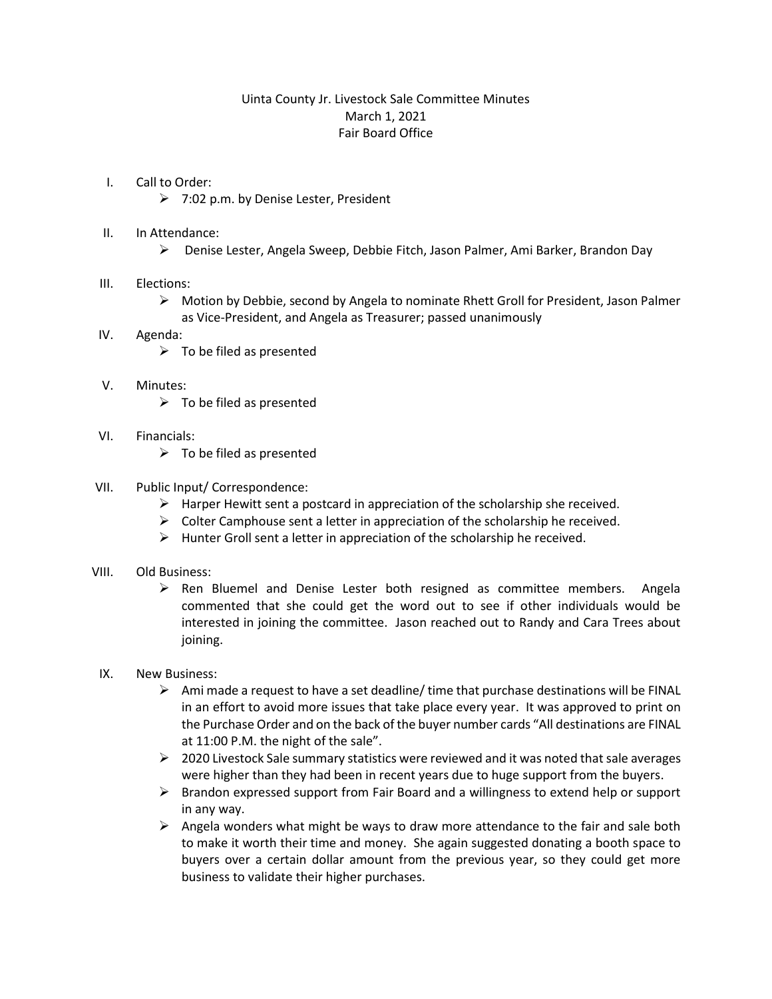# Uinta County Jr. Livestock Sale Committee Minutes March 1, 2021 Fair Board Office

#### I. Call to Order:

- $\geq$  7:02 p.m. by Denise Lester, President
- II. In Attendance:
	- Denise Lester, Angela Sweep, Debbie Fitch, Jason Palmer, Ami Barker, Brandon Day

## III. Elections:

 $\triangleright$  Motion by Debbie, second by Angela to nominate Rhett Groll for President, Jason Palmer as Vice-President, and Angela as Treasurer; passed unanimously

## IV. Agenda:

 $\triangleright$  To be filed as presented

## V. Minutes:

- $\triangleright$  To be filed as presented
- VI. Financials:
	- $\triangleright$  To be filed as presented

## VII. Public Input/ Correspondence:

- $\triangleright$  Harper Hewitt sent a postcard in appreciation of the scholarship she received.
- $\triangleright$  Colter Camphouse sent a letter in appreciation of the scholarship he received.
- $\triangleright$  Hunter Groll sent a letter in appreciation of the scholarship he received.

## VIII. Old Business:

- $\triangleright$  Ren Bluemel and Denise Lester both resigned as committee members. Angela commented that she could get the word out to see if other individuals would be interested in joining the committee. Jason reached out to Randy and Cara Trees about joining.
- IX. New Business:
	- $\triangleright$  Ami made a request to have a set deadline/ time that purchase destinations will be FINAL in an effort to avoid more issues that take place every year. It was approved to print on the Purchase Order and on the back of the buyer number cards "All destinations are FINAL at 11:00 P.M. the night of the sale".
	- $\geq 2020$  Livestock Sale summary statistics were reviewed and it was noted that sale averages were higher than they had been in recent years due to huge support from the buyers.
	- $\triangleright$  Brandon expressed support from Fair Board and a willingness to extend help or support in any way.
	- $\triangleright$  Angela wonders what might be ways to draw more attendance to the fair and sale both to make it worth their time and money. She again suggested donating a booth space to buyers over a certain dollar amount from the previous year, so they could get more business to validate their higher purchases.